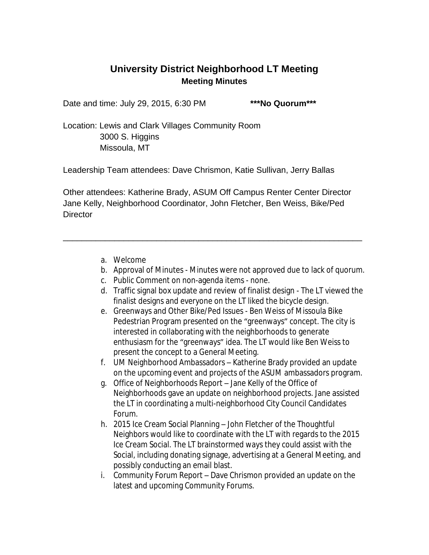## **University District Neighborhood LT Meeting Meeting Minutes**

Date and time: July 29, 2015, 6:30 PM **\*\*\*No Quorum\*\*\***

Location: Lewis and Clark Villages Community Room

 3000 S. Higgins Missoula, MT

Leadership Team attendees: Dave Chrismon, Katie Sullivan, Jerry Ballas

Other attendees: Katherine Brady, ASUM Off Campus Renter Center Director Jane Kelly, Neighborhood Coordinator, John Fletcher, Ben Weiss, Bike/Ped **Director** 

\_\_\_\_\_\_\_\_\_\_\_\_\_\_\_\_\_\_\_\_\_\_\_\_\_\_\_\_\_\_\_\_\_\_\_\_\_\_\_\_\_\_\_\_\_\_\_\_\_\_\_\_\_\_\_\_\_\_\_\_\_\_\_\_

- a. Welcome
- b. Approval of Minutes Minutes were not approved due to lack of quorum.
- c. Public Comment on non-agenda items none.
- d. Traffic signal box update and review of finalist design The LT viewed the finalist designs and everyone on the LT liked the bicycle design.
- e. Greenways and Other Bike/Ped Issues Ben Weiss of Missoula Bike Pedestrian Program presented on the "greenways" concept. The city is interested in collaborating with the neighborhoods to generate enthusiasm for the "greenways" idea. The LT would like Ben Weiss to present the concept to a General Meeting.
- f. UM Neighborhood Ambassadors Katherine Brady provided an update on the upcoming event and projects of the ASUM ambassadors program.
- g. Office of Neighborhoods Report Jane Kelly of the Office of Neighborhoods gave an update on neighborhood projects. Jane assisted the LT in coordinating a multi-neighborhood City Council Candidates Forum.
- h. 2015 Ice Cream Social Planning John Fletcher of the Thoughtful Neighbors would like to coordinate with the LT with regards to the 2015 Ice Cream Social. The LT brainstormed ways they could assist with the Social, including donating signage, advertising at a General Meeting, and possibly conducting an email blast.
- i. Community Forum Report Dave Chrismon provided an update on the latest and upcoming Community Forums.